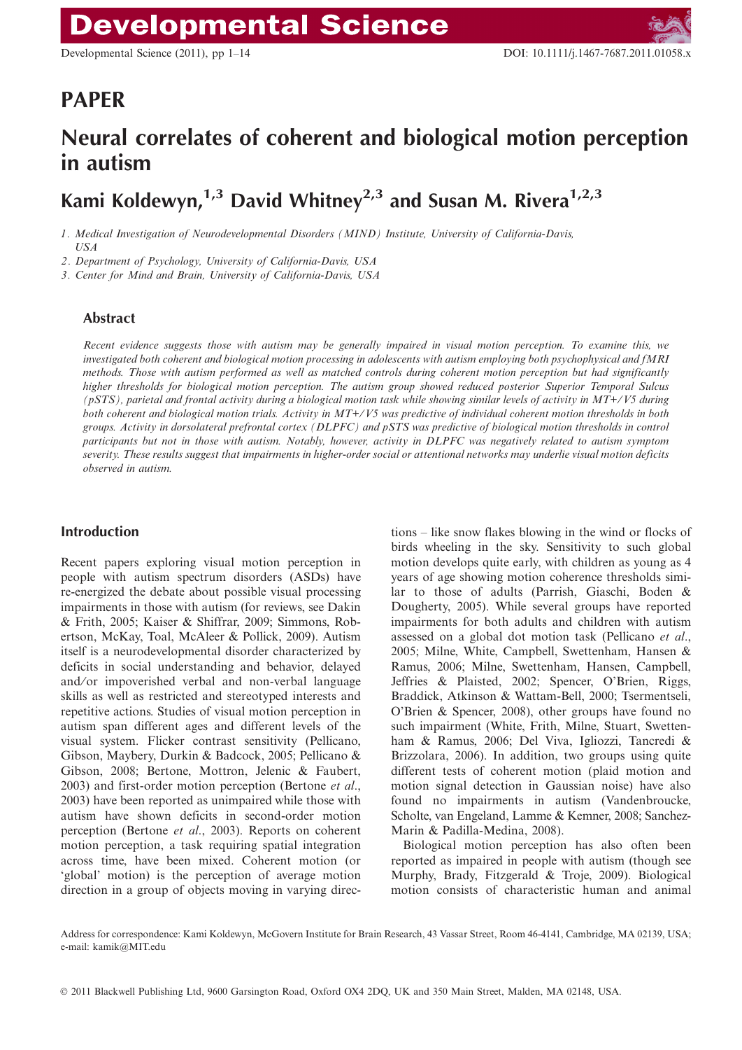# PAPER

# Neural correlates of coherent and biological motion perception in autism

Kami Koldewyn,<sup>1,3</sup> David Whitney<sup>2,3</sup> and Susan M. Rivera<sup>1,2,3</sup>

1. Medical Investigation of Neurodevelopmental Disorders (MIND) Institute, University of California-Davis, USA

2. Department of Psychology, University of California-Davis, USA

3. Center for Mind and Brain, University of California-Davis, USA

### Abstract

Recent evidence suggests those with autism may be generally impaired in visual motion perception. To examine this, we investigated both coherent and biological motion processing in adolescents with autism employing both psychophysical and fMRI methods. Those with autism performed as well as matched controls during coherent motion perception but had significantly higher thresholds for biological motion perception. The autism group showed reduced posterior Superior Temporal Sulcus (pSTS), parietal and frontal activity during a biological motion task while showing similar levels of activity in MT+⁄ V5 during both coherent and biological motion trials. Activity in MT+/V5 was predictive of individual coherent motion thresholds in both groups. Activity in dorsolateral prefrontal cortex (DLPFC) and pSTS was predictive of biological motion thresholds in control participants but not in those with autism. Notably, however, activity in DLPFC was negatively related to autism symptom severity. These results suggest that impairments in higher-order social or attentional networks may underlie visual motion deficits observed in autism.

# Introduction

Recent papers exploring visual motion perception in people with autism spectrum disorders (ASDs) have re-energized the debate about possible visual processing impairments in those with autism (for reviews, see Dakin & Frith, 2005; Kaiser & Shiffrar, 2009; Simmons, Robertson, McKay, Toal, McAleer & Pollick, 2009). Autism itself is a neurodevelopmental disorder characterized by deficits in social understanding and behavior, delayed and/or impoverished verbal and non-verbal language skills as well as restricted and stereotyped interests and repetitive actions. Studies of visual motion perception in autism span different ages and different levels of the visual system. Flicker contrast sensitivity (Pellicano, Gibson, Maybery, Durkin & Badcock, 2005; Pellicano & Gibson, 2008; Bertone, Mottron, Jelenic & Faubert, 2003) and first-order motion perception (Bertone et al., 2003) have been reported as unimpaired while those with autism have shown deficits in second-order motion perception (Bertone et al., 2003). Reports on coherent motion perception, a task requiring spatial integration across time, have been mixed. Coherent motion (or 'global' motion) is the perception of average motion direction in a group of objects moving in varying directions – like snow flakes blowing in the wind or flocks of birds wheeling in the sky. Sensitivity to such global motion develops quite early, with children as young as 4 years of age showing motion coherence thresholds similar to those of adults (Parrish, Giaschi, Boden & Dougherty, 2005). While several groups have reported impairments for both adults and children with autism assessed on a global dot motion task (Pellicano et al., 2005; Milne, White, Campbell, Swettenham, Hansen & Ramus, 2006; Milne, Swettenham, Hansen, Campbell, Jeffries & Plaisted, 2002; Spencer, O'Brien, Riggs, Braddick, Atkinson & Wattam-Bell, 2000; Tsermentseli, O'Brien & Spencer, 2008), other groups have found no such impairment (White, Frith, Milne, Stuart, Swettenham & Ramus, 2006; Del Viva, Igliozzi, Tancredi & Brizzolara, 2006). In addition, two groups using quite different tests of coherent motion (plaid motion and motion signal detection in Gaussian noise) have also found no impairments in autism (Vandenbroucke, Scholte, van Engeland, Lamme & Kemner, 2008; Sanchez-Marin & Padilla-Medina, 2008).

Biological motion perception has also often been reported as impaired in people with autism (though see Murphy, Brady, Fitzgerald & Troje, 2009). Biological motion consists of characteristic human and animal

Address for correspondence: Kami Koldewyn, McGovern Institute for Brain Research, 43 Vassar Street, Room 46-4141, Cambridge, MA 02139, USA; e-mail: kamik@MIT.edu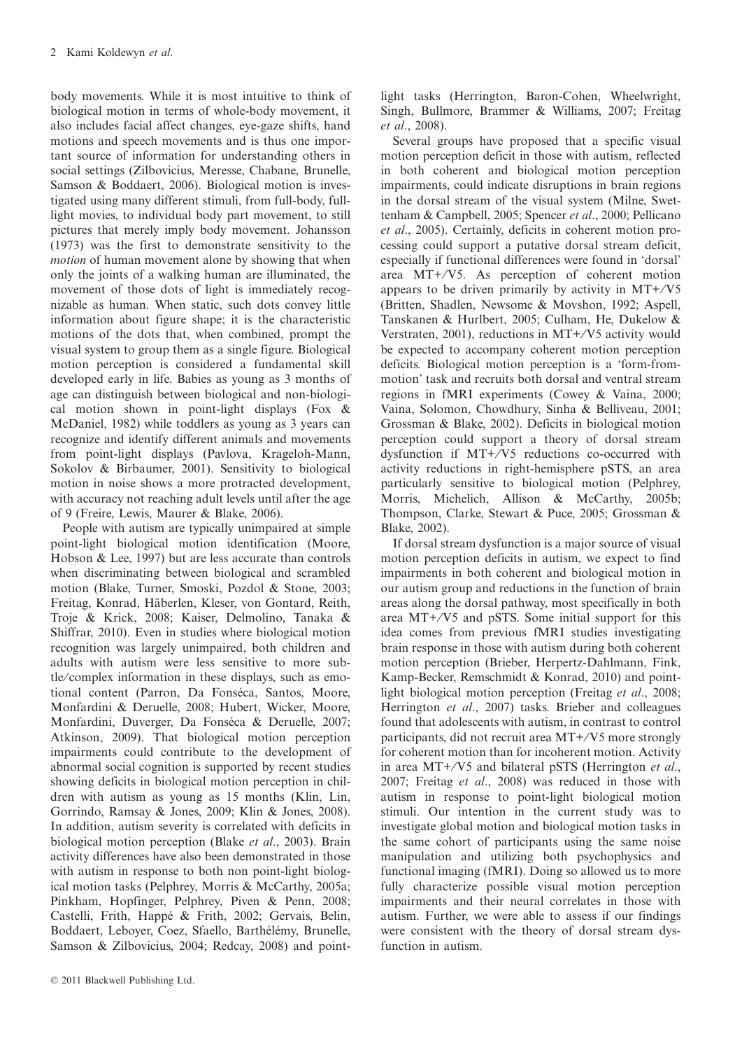body movements. While it is most intuitive to think of biological motion in terms of whole-body movement, it also includes facial affect changes, eye-gaze shifts, hand motions and speech movements and is thus one important source of information for understanding others in social settings (Zilbovicius, Meresse, Chabane, Brunelle, Samson & Boddaert, 2006). Biological motion is investigated using many different stimuli, from full-body, fulllight movies, to individual body part movement, to still pictures that merely imply body movement. Johansson (1973) was the first to demonstrate sensitivity to the motion of human movement alone by showing that when only the joints of a walking human are illuminated, the movement of those dots of light is immediately recognizable as human. When static, such dots convey little information about figure shape; it is the characteristic motions of the dots that, when combined, prompt the visual system to group them as a single figure. Biological motion perception is considered a fundamental skill developed early in life. Babies as young as 3 months of age can distinguish between biological and non-biological motion shown in point-light displays (Fox & McDaniel, 1982) while toddlers as young as 3 years can recognize and identify different animals and movements from point-light displays (Pavlova, Krageloh-Mann, Sokolov & Birbaumer, 2001). Sensitivity to biological motion in noise shows a more protracted development, with accuracy not reaching adult levels until after the age of 9 (Freire, Lewis, Maurer & Blake, 2006).

People with autism are typically unimpaired at simple point-light biological motion identification (Moore, Hobson & Lee, 1997) but are less accurate than controls when discriminating between biological and scrambled motion (Blake, Turner, Smoski, Pozdol & Stone, 2003; Freitag, Konrad, Häberlen, Kleser, von Gontard, Reith, Troje & Krick, 2008; Kaiser, Delmolino, Tanaka & Shiffrar, 2010). Even in studies where biological motion recognition was largely unimpaired, both children and adults with autism were less sensitive to more subtle/complex information in these displays, such as emotional content (Parron, Da Fonséca, Santos, Moore, Monfardini & Deruelle, 2008; Hubert, Wicker, Moore, Monfardini, Duverger, Da Fonséca & Deruelle, 2007; Atkinson, 2009). That biological motion perception impairments could contribute to the development of abnormal social cognition is supported by recent studies showing deficits in biological motion perception in children with autism as young as 15 months (Klin, Lin, Gorrindo, Ramsay & Jones, 2009; Klin & Jones, 2008). In addition, autism severity is correlated with deficits in biological motion perception (Blake et al., 2003). Brain activity differences have also been demonstrated in those with autism in response to both non point-light biological motion tasks (Pelphrey, Morris & McCarthy, 2005a; Pinkham, Hopfinger, Pelphrey, Piven & Penn, 2008; Castelli, Frith, Happé & Frith, 2002; Gervais, Belin, Boddaert, Leboyer, Coez, Sfaello, Barthélémy, Brunelle, Samson & Zilbovicius, 2004; Redcay, 2008) and pointlight tasks (Herrington, Baron-Cohen, Wheelwright, Singh, Bullmore, Brammer & Williams, 2007; Freitag et al., 2008).

Several groups have proposed that a specific visual motion perception deficit in those with autism, reflected in both coherent and biological motion perception impairments, could indicate disruptions in brain regions in the dorsal stream of the visual system (Milne, Swettenham & Campbell, 2005; Spencer et al., 2000; Pellicano et al., 2005). Certainly, deficits in coherent motion processing could support a putative dorsal stream deficit, especially if functional differences were found in 'dorsal' area MT+⁄V5. As perception of coherent motion appears to be driven primarily by activity in MT+⁄V5 (Britten, Shadlen, Newsome & Movshon, 1992; Aspell, Tanskanen & Hurlbert, 2005; Culham, He, Dukelow & Verstraten, 2001), reductions in MT+⁄V5 activity would be expected to accompany coherent motion perception deficits. Biological motion perception is a 'form-frommotion' task and recruits both dorsal and ventral stream regions in fMRI experiments (Cowey & Vaina, 2000; Vaina, Solomon, Chowdhury, Sinha & Belliveau, 2001; Grossman & Blake, 2002). Deficits in biological motion perception could support a theory of dorsal stream dysfunction if MT+⁄V5 reductions co-occurred with activity reductions in right-hemisphere pSTS, an area particularly sensitive to biological motion (Pelphrey, Morris, Michelich, Allison & McCarthy, 2005b; Thompson, Clarke, Stewart & Puce, 2005; Grossman & Blake, 2002).

If dorsal stream dysfunction is a major source of visual motion perception deficits in autism, we expect to find impairments in both coherent and biological motion in our autism group and reductions in the function of brain areas along the dorsal pathway, most specifically in both area MT+⁄V5 and pSTS. Some initial support for this idea comes from previous fMRI studies investigating brain response in those with autism during both coherent motion perception (Brieber, Herpertz-Dahlmann, Fink, Kamp-Becker, Remschmidt & Konrad, 2010) and pointlight biological motion perception (Freitag et al., 2008; Herrington et al., 2007) tasks. Brieber and colleagues found that adolescents with autism, in contrast to control participants, did not recruit area  $MT+/\sqrt{5}$  more strongly for coherent motion than for incoherent motion. Activity in area MT+⁄V5 and bilateral pSTS (Herrington et al., 2007; Freitag et al., 2008) was reduced in those with autism in response to point-light biological motion stimuli. Our intention in the current study was to investigate global motion and biological motion tasks in the same cohort of participants using the same noise manipulation and utilizing both psychophysics and functional imaging (fMRI). Doing so allowed us to more fully characterize possible visual motion perception impairments and their neural correlates in those with autism. Further, we were able to assess if our findings were consistent with the theory of dorsal stream dysfunction in autism.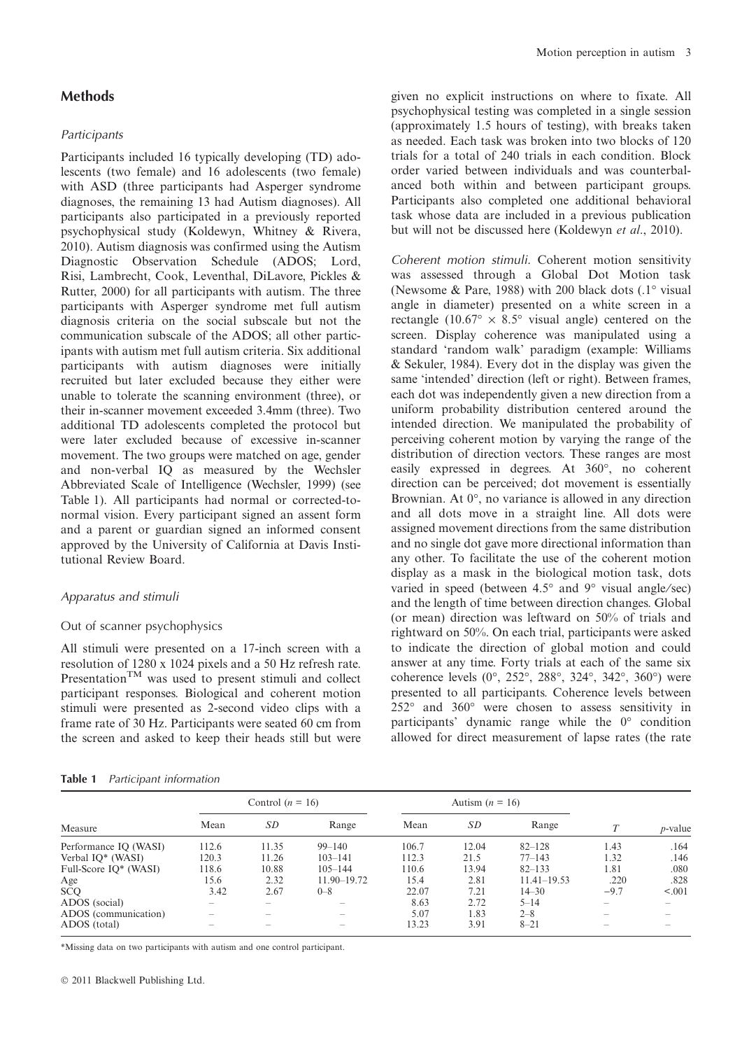# Methods

#### **Participants**

Participants included 16 typically developing (TD) adolescents (two female) and 16 adolescents (two female) with ASD (three participants had Asperger syndrome diagnoses, the remaining 13 had Autism diagnoses). All participants also participated in a previously reported psychophysical study (Koldewyn, Whitney & Rivera, 2010). Autism diagnosis was confirmed using the Autism Diagnostic Observation Schedule (ADOS; Lord, Risi, Lambrecht, Cook, Leventhal, DiLavore, Pickles & Rutter, 2000) for all participants with autism. The three participants with Asperger syndrome met full autism diagnosis criteria on the social subscale but not the communication subscale of the ADOS; all other participants with autism met full autism criteria. Six additional participants with autism diagnoses were initially recruited but later excluded because they either were unable to tolerate the scanning environment (three), or their in-scanner movement exceeded 3.4mm (three). Two additional TD adolescents completed the protocol but were later excluded because of excessive in-scanner movement. The two groups were matched on age, gender and non-verbal IQ as measured by the Wechsler Abbreviated Scale of Intelligence (Wechsler, 1999) (see Table 1). All participants had normal or corrected-tonormal vision. Every participant signed an assent form and a parent or guardian signed an informed consent approved by the University of California at Davis Institutional Review Board.

#### Apparatus and stimuli

#### Out of scanner psychophysics

All stimuli were presented on a 17-inch screen with a resolution of 1280 x 1024 pixels and a 50 Hz refresh rate. Presentation<sup>TM</sup> was used to present stimuli and collect participant responses. Biological and coherent motion stimuli were presented as 2-second video clips with a frame rate of 30 Hz. Participants were seated 60 cm from the screen and asked to keep their heads still but were

| Table 1 |  | Participant information |
|---------|--|-------------------------|
|---------|--|-------------------------|

given no explicit instructions on where to fixate. All psychophysical testing was completed in a single session (approximately 1.5 hours of testing), with breaks taken as needed. Each task was broken into two blocks of 120 trials for a total of 240 trials in each condition. Block order varied between individuals and was counterbalanced both within and between participant groups. Participants also completed one additional behavioral task whose data are included in a previous publication but will not be discussed here (Koldewyn et al., 2010).

Coherent motion stimuli. Coherent motion sensitivity was assessed through a Global Dot Motion task (Newsome & Pare, 1988) with 200 black dots  $(0.1^{\circ}$  visual angle in diameter) presented on a white screen in a rectangle (10.67 $\degree \times 8.5\degree$  visual angle) centered on the screen. Display coherence was manipulated using a standard 'random walk' paradigm (example: Williams & Sekuler, 1984). Every dot in the display was given the same 'intended' direction (left or right). Between frames, each dot was independently given a new direction from a uniform probability distribution centered around the intended direction. We manipulated the probability of perceiving coherent motion by varying the range of the distribution of direction vectors. These ranges are most easily expressed in degrees. At 360°, no coherent direction can be perceived; dot movement is essentially Brownian. At  $0^\circ$ , no variance is allowed in any direction and all dots move in a straight line. All dots were assigned movement directions from the same distribution and no single dot gave more directional information than any other. To facilitate the use of the coherent motion display as a mask in the biological motion task, dots varied in speed (between  $4.5^{\circ}$  and  $9^{\circ}$  visual angle/sec) and the length of time between direction changes. Global (or mean) direction was leftward on 50% of trials and rightward on 50%. On each trial, participants were asked to indicate the direction of global motion and could answer at any time. Forty trials at each of the same six coherence levels (0°, 252°, 288°, 324°, 342°, 360°) were presented to all participants. Coherence levels between  $252^{\circ}$  and  $360^{\circ}$  were chosen to assess sensitivity in participants' dynamic range while the  $0^{\circ}$  condition allowed for direct measurement of lapse rates (the rate

| Measure               | Control $(n = 16)$ |                          | Autism $(n = 16)$ |       |           |                 |        |            |
|-----------------------|--------------------|--------------------------|-------------------|-------|-----------|-----------------|--------|------------|
|                       | Mean               | <i>SD</i>                | Range             | Mean  | <i>SD</i> | Range           | T      | $p$ -value |
| Performance IQ (WASI) | 112.6              | 11.35                    | $99 - 140$        | 106.7 | 12.04     | $82 - 128$      | 1.43   | .164       |
| Verbal IQ* (WASI)     | 120.3              | 11.26                    | $103 - 141$       | 112.3 | 21.5      | $77 - 143$      | 1.32   | .146       |
| Full-Score IO* (WASI) | 118.6              | 10.88                    | $105 - 144$       | 110.6 | 13.94     | $82 - 133$      | 1.81   | .080       |
| Age                   | 15.6               | 2.32                     | 11.90–19.72       | 15.4  | 2.81      | $11.41 - 19.53$ | .220   | .828       |
| <b>SCQ</b>            | 3.42               | 2.67                     | $0 - 8$           | 22.07 | 7.21      | $14 - 30$       | $-9.7$ | < 0.001    |
| ADOS (social)         |                    | $\overline{\phantom{a}}$ |                   | 8.63  | 2.72      | $5 - 14$        |        |            |
| ADOS (communication)  |                    |                          | -                 | 5.07  | l.83      | $2 - 8$         |        |            |
| ADOS (total)          |                    |                          | $\sim$            | 13.23 | 3.91      | $8 - 21$        |        |            |

\*Missing data on two participants with autism and one control participant.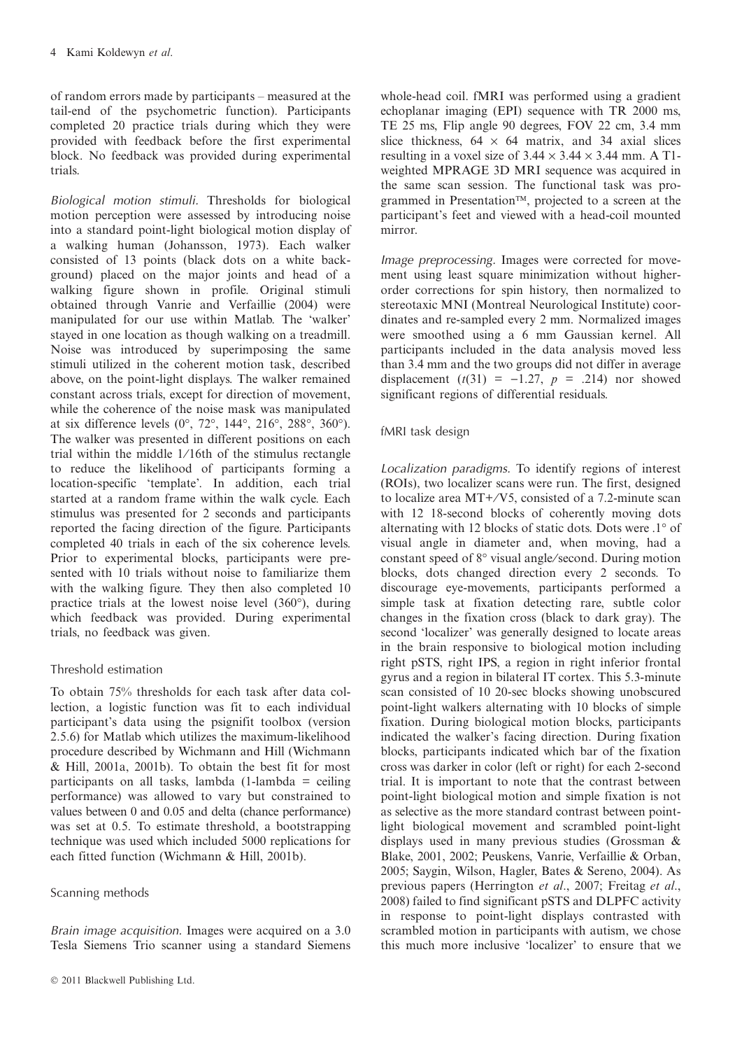of random errors made by participants – measured at the tail-end of the psychometric function). Participants completed 20 practice trials during which they were provided with feedback before the first experimental block. No feedback was provided during experimental trials.

Biological motion stimuli. Thresholds for biological motion perception were assessed by introducing noise into a standard point-light biological motion display of a walking human (Johansson, 1973). Each walker consisted of 13 points (black dots on a white background) placed on the major joints and head of a walking figure shown in profile. Original stimuli obtained through Vanrie and Verfaillie (2004) were manipulated for our use within Matlab. The 'walker' stayed in one location as though walking on a treadmill. Noise was introduced by superimposing the same stimuli utilized in the coherent motion task, described above, on the point-light displays. The walker remained constant across trials, except for direction of movement, while the coherence of the noise mask was manipulated at six difference levels  $(0^{\circ}, 72^{\circ}, 144^{\circ}, 216^{\circ}, 288^{\circ}, 360^{\circ}).$ The walker was presented in different positions on each trial within the middle  $1/16$ th of the stimulus rectangle to reduce the likelihood of participants forming a location-specific 'template'. In addition, each trial started at a random frame within the walk cycle. Each stimulus was presented for 2 seconds and participants reported the facing direction of the figure. Participants completed 40 trials in each of the six coherence levels. Prior to experimental blocks, participants were presented with 10 trials without noise to familiarize them with the walking figure. They then also completed 10 practice trials at the lowest noise level  $(360^{\circ})$ , during which feedback was provided. During experimental trials, no feedback was given.

## Threshold estimation

To obtain 75% thresholds for each task after data collection, a logistic function was fit to each individual participant's data using the psignifit toolbox (version 2.5.6) for Matlab which utilizes the maximum-likelihood procedure described by Wichmann and Hill (Wichmann & Hill, 2001a, 2001b). To obtain the best fit for most participants on all tasks, lambda (1-lambda = ceiling performance) was allowed to vary but constrained to values between 0 and 0.05 and delta (chance performance) was set at 0.5. To estimate threshold, a bootstrapping technique was used which included 5000 replications for each fitted function (Wichmann & Hill, 2001b).

# Scanning methods

Brain image acquisition. Images were acquired on a 3.0 Tesla Siemens Trio scanner using a standard Siemens whole-head coil. fMRI was performed using a gradient echoplanar imaging (EPI) sequence with TR 2000 ms, TE 25 ms, Flip angle 90 degrees, FOV 22 cm, 3.4 mm slice thickness,  $64 \times 64$  matrix, and 34 axial slices resulting in a voxel size of  $3.44 \times 3.44 \times 3.44$  mm. A T1weighted MPRAGE 3D MRI sequence was acquired in the same scan session. The functional task was programmed in Presentation™, projected to a screen at the participant's feet and viewed with a head-coil mounted mirror.

Image preprocessing. Images were corrected for movement using least square minimization without higherorder corrections for spin history, then normalized to stereotaxic MNI (Montreal Neurological Institute) coordinates and re-sampled every 2 mm. Normalized images were smoothed using a 6 mm Gaussian kernel. All participants included in the data analysis moved less than 3.4 mm and the two groups did not differ in average displacement  $(t(31) = -1.27, p = .214)$  nor showed significant regions of differential residuals.

## fMRI task design

Localization paradigms. To identify regions of interest (ROIs), two localizer scans were run. The first, designed to localize area MT+⁄V5, consisted of a 7.2-minute scan with 12 18-second blocks of coherently moving dots alternating with 12 blocks of static dots. Dots were  $.1^{\circ}$  of visual angle in diameter and, when moving, had a constant speed of  $8^\circ$  visual angle/second. During motion blocks, dots changed direction every 2 seconds. To discourage eye-movements, participants performed a simple task at fixation detecting rare, subtle color changes in the fixation cross (black to dark gray). The second 'localizer' was generally designed to locate areas in the brain responsive to biological motion including right pSTS, right IPS, a region in right inferior frontal gyrus and a region in bilateral IT cortex. This 5.3-minute scan consisted of 10 20-sec blocks showing unobscured point-light walkers alternating with 10 blocks of simple fixation. During biological motion blocks, participants indicated the walker's facing direction. During fixation blocks, participants indicated which bar of the fixation cross was darker in color (left or right) for each 2-second trial. It is important to note that the contrast between point-light biological motion and simple fixation is not as selective as the more standard contrast between pointlight biological movement and scrambled point-light displays used in many previous studies (Grossman & Blake, 2001, 2002; Peuskens, Vanrie, Verfaillie & Orban, 2005; Saygin, Wilson, Hagler, Bates & Sereno, 2004). As previous papers (Herrington et al., 2007; Freitag et al., 2008) failed to find significant pSTS and DLPFC activity in response to point-light displays contrasted with scrambled motion in participants with autism, we chose this much more inclusive 'localizer' to ensure that we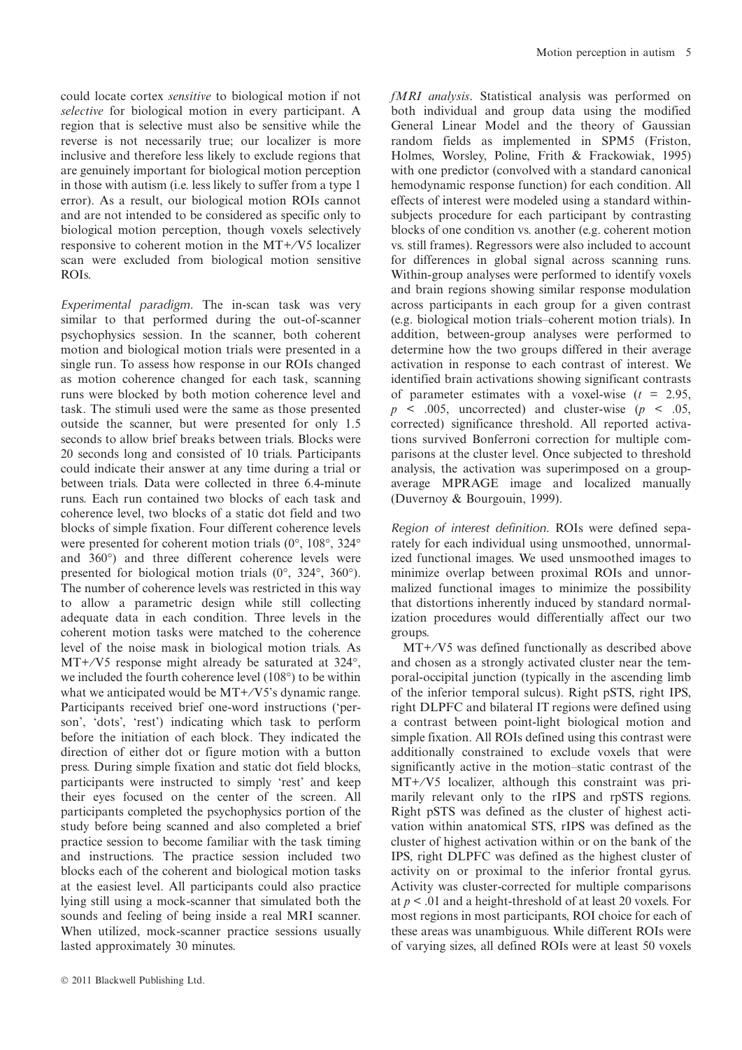could locate cortex sensitive to biological motion if not selective for biological motion in every participant. A region that is selective must also be sensitive while the reverse is not necessarily true; our localizer is more inclusive and therefore less likely to exclude regions that are genuinely important for biological motion perception in those with autism (i.e. less likely to suffer from a type 1 error). As a result, our biological motion ROIs cannot and are not intended to be considered as specific only to biological motion perception, though voxels selectively responsive to coherent motion in the MT+⁄V5 localizer scan were excluded from biological motion sensitive ROIs.

Experimental paradigm. The in-scan task was very similar to that performed during the out-of-scanner psychophysics session. In the scanner, both coherent motion and biological motion trials were presented in a single run. To assess how response in our ROIs changed as motion coherence changed for each task, scanning runs were blocked by both motion coherence level and task. The stimuli used were the same as those presented outside the scanner, but were presented for only 1.5 seconds to allow brief breaks between trials. Blocks were 20 seconds long and consisted of 10 trials. Participants could indicate their answer at any time during a trial or between trials. Data were collected in three 6.4-minute runs. Each run contained two blocks of each task and coherence level, two blocks of a static dot field and two blocks of simple fixation. Four different coherence levels were presented for coherent motion trials  $(0^{\circ}, 108^{\circ}, 324^{\circ})$ and 360°) and three different coherence levels were presented for biological motion trials  $(0^{\circ}, 324^{\circ}, 360^{\circ})$ . The number of coherence levels was restricted in this way to allow a parametric design while still collecting adequate data in each condition. Three levels in the coherent motion tasks were matched to the coherence level of the noise mask in biological motion trials. As  $MT+/\sqrt{5}$  response might already be saturated at 324 $^{\circ}$ , we included the fourth coherence level  $(108^{\circ})$  to be within what we anticipated would be  $MT + / V5$ 's dynamic range. Participants received brief one-word instructions ('person', 'dots', 'rest') indicating which task to perform before the initiation of each block. They indicated the direction of either dot or figure motion with a button press. During simple fixation and static dot field blocks, participants were instructed to simply 'rest' and keep their eyes focused on the center of the screen. All participants completed the psychophysics portion of the study before being scanned and also completed a brief practice session to become familiar with the task timing and instructions. The practice session included two blocks each of the coherent and biological motion tasks at the easiest level. All participants could also practice lying still using a mock-scanner that simulated both the sounds and feeling of being inside a real MRI scanner. When utilized, mock-scanner practice sessions usually lasted approximately 30 minutes.

fMRI analysis. Statistical analysis was performed on both individual and group data using the modified General Linear Model and the theory of Gaussian random fields as implemented in SPM5 (Friston, Holmes, Worsley, Poline, Frith & Frackowiak, 1995) with one predictor (convolved with a standard canonical hemodynamic response function) for each condition. All effects of interest were modeled using a standard withinsubjects procedure for each participant by contrasting blocks of one condition vs. another (e.g. coherent motion vs. still frames). Regressors were also included to account for differences in global signal across scanning runs. Within-group analyses were performed to identify voxels and brain regions showing similar response modulation across participants in each group for a given contrast (e.g. biological motion trials–coherent motion trials). In addition, between-group analyses were performed to determine how the two groups differed in their average activation in response to each contrast of interest. We identified brain activations showing significant contrasts of parameter estimates with a voxel-wise  $(t = 2.95,$  $p \leq 0.005$ , uncorrected) and cluster-wise ( $p \leq 0.05$ , corrected) significance threshold. All reported activations survived Bonferroni correction for multiple comparisons at the cluster level. Once subjected to threshold analysis, the activation was superimposed on a groupaverage MPRAGE image and localized manually (Duvernoy & Bourgouin, 1999).

Region of interest definition. ROIs were defined separately for each individual using unsmoothed, unnormalized functional images. We used unsmoothed images to minimize overlap between proximal ROIs and unnormalized functional images to minimize the possibility that distortions inherently induced by standard normalization procedures would differentially affect our two groups.

MT+/V5 was defined functionally as described above and chosen as a strongly activated cluster near the temporal-occipital junction (typically in the ascending limb of the inferior temporal sulcus). Right pSTS, right IPS, right DLPFC and bilateral IT regions were defined using a contrast between point-light biological motion and simple fixation. All ROIs defined using this contrast were additionally constrained to exclude voxels that were significantly active in the motion–static contrast of the MT+⁄V5 localizer, although this constraint was primarily relevant only to the rIPS and rpSTS regions. Right pSTS was defined as the cluster of highest activation within anatomical STS, rIPS was defined as the cluster of highest activation within or on the bank of the IPS, right DLPFC was defined as the highest cluster of activity on or proximal to the inferior frontal gyrus. Activity was cluster-corrected for multiple comparisons at  $p < 0.01$  and a height-threshold of at least 20 voxels. For most regions in most participants, ROI choice for each of these areas was unambiguous. While different ROIs were of varying sizes, all defined ROIs were at least 50 voxels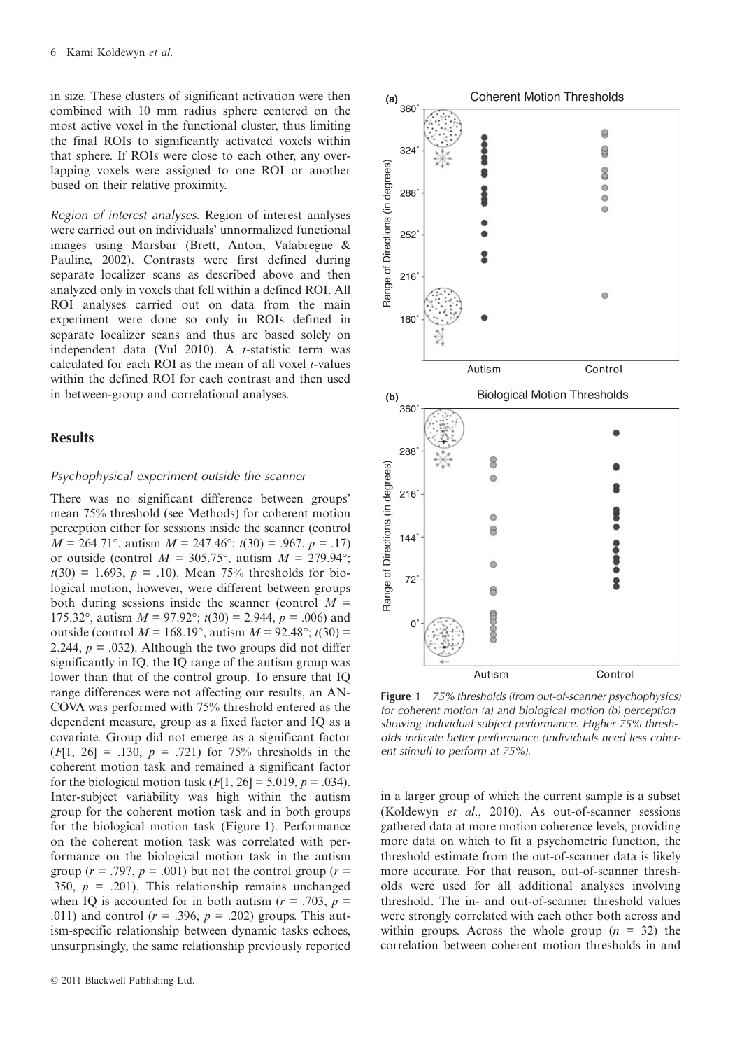in size. These clusters of significant activation were then combined with 10 mm radius sphere centered on the most active voxel in the functional cluster, thus limiting the final ROIs to significantly activated voxels within that sphere. If ROIs were close to each other, any overlapping voxels were assigned to one ROI or another based on their relative proximity.

Region of interest analyses. Region of interest analyses were carried out on individuals' unnormalized functional images using Marsbar (Brett, Anton, Valabregue & Pauline, 2002). Contrasts were first defined during separate localizer scans as described above and then analyzed only in voxels that fell within a defined ROI. All ROI analyses carried out on data from the main experiment were done so only in ROIs defined in separate localizer scans and thus are based solely on independent data (Vul 2010). A t-statistic term was calculated for each ROI as the mean of all voxel t-values within the defined ROI for each contrast and then used in between-group and correlational analyses.

#### **Results**

#### Psychophysical experiment outside the scanner

There was no significant difference between groups' mean 75% threshold (see Methods) for coherent motion perception either for sessions inside the scanner (control  $M = 264.71^{\circ}$ , autism  $M = 247.46^{\circ}$ ;  $t(30) = .967$ ,  $p = .17$ ) or outside (control  $M = 305.75^{\circ}$ , autism  $M = 279.94^{\circ}$ ;  $t(30) = 1.693$ ,  $p = .10$ ). Mean 75% thresholds for biological motion, however, were different between groups both during sessions inside the scanner (control  $M =$ 175.32°, autism  $M = 97.92$ °;  $t(30) = 2.944$ ,  $p = .006$ ) and outside (control  $M = 168.19^{\circ}$ , autism  $M = 92.48^{\circ}$ ;  $t(30) =$ 2.244,  $p = .032$ ). Although the two groups did not differ significantly in IQ, the IQ range of the autism group was lower than that of the control group. To ensure that IQ range differences were not affecting our results, an AN-COVA was performed with 75% threshold entered as the dependent measure, group as a fixed factor and IQ as a covariate. Group did not emerge as a significant factor  $(F[1, 26] = .130, p = .721)$  for 75% thresholds in the coherent motion task and remained a significant factor for the biological motion task  $(F[1, 26] = 5.019, p = .034)$ . Inter-subject variability was high within the autism group for the coherent motion task and in both groups for the biological motion task (Figure 1). Performance on the coherent motion task was correlated with performance on the biological motion task in the autism group ( $r = .797$ ,  $p = .001$ ) but not the control group ( $r =$ .350,  $p = .201$ ). This relationship remains unchanged when IQ is accounted for in both autism ( $r = .703$ ,  $p =$ .011) and control ( $r = .396$ ,  $p = .202$ ) groups. This autism-specific relationship between dynamic tasks echoes, unsurprisingly, the same relationship previously reported



Figure 1 75% thresholds (from out-of-scanner psychophysics) for coherent motion (a) and biological motion (b) perception showing individual subject performance. Higher 75% thresholds indicate better performance (individuals need less coherent stimuli to perform at 75%).

in a larger group of which the current sample is a subset (Koldewyn et al., 2010). As out-of-scanner sessions gathered data at more motion coherence levels, providing more data on which to fit a psychometric function, the threshold estimate from the out-of-scanner data is likely more accurate. For that reason, out-of-scanner thresholds were used for all additional analyses involving threshold. The in- and out-of-scanner threshold values were strongly correlated with each other both across and within groups. Across the whole group  $(n = 32)$  the correlation between coherent motion thresholds in and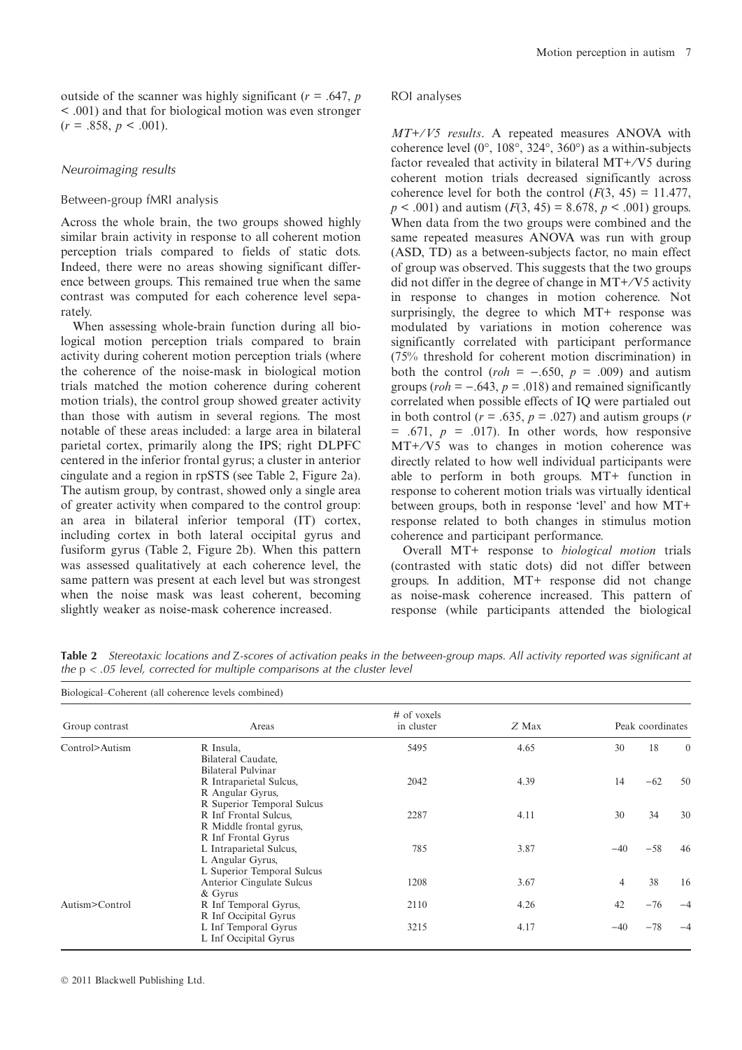outside of the scanner was highly significant ( $r = .647$ , p < .001) and that for biological motion was even stronger  $(r = .858, p < .001)$ .

#### Neuroimaging results

#### Between-group fMRI analysis

Across the whole brain, the two groups showed highly similar brain activity in response to all coherent motion perception trials compared to fields of static dots. Indeed, there were no areas showing significant difference between groups. This remained true when the same contrast was computed for each coherence level separately.

When assessing whole-brain function during all biological motion perception trials compared to brain activity during coherent motion perception trials (where the coherence of the noise-mask in biological motion trials matched the motion coherence during coherent motion trials), the control group showed greater activity than those with autism in several regions. The most notable of these areas included: a large area in bilateral parietal cortex, primarily along the IPS; right DLPFC centered in the inferior frontal gyrus; a cluster in anterior cingulate and a region in rpSTS (see Table 2, Figure 2a). The autism group, by contrast, showed only a single area of greater activity when compared to the control group: an area in bilateral inferior temporal (IT) cortex, including cortex in both lateral occipital gyrus and fusiform gyrus (Table 2, Figure 2b). When this pattern was assessed qualitatively at each coherence level, the same pattern was present at each level but was strongest when the noise mask was least coherent, becoming slightly weaker as noise-mask coherence increased.

#### ROI analyses

MT+⁄V5 results. A repeated measures ANOVA with coherence level ( $0^\circ$ ,  $108^\circ$ ,  $324^\circ$ ,  $360^\circ$ ) as a within-subjects factor revealed that activity in bilateral MT+⁄V5 during coherent motion trials decreased significantly across coherence level for both the control  $(F(3, 45) = 11.477$ ,  $p < .001$ ) and autism  $(F(3, 45) = 8.678, p < .001)$  groups. When data from the two groups were combined and the same repeated measures ANOVA was run with group (ASD, TD) as a between-subjects factor, no main effect of group was observed. This suggests that the two groups did not differ in the degree of change in MT+⁄V5 activity in response to changes in motion coherence. Not surprisingly, the degree to which MT+ response was modulated by variations in motion coherence was significantly correlated with participant performance (75% threshold for coherent motion discrimination) in both the control (*roh* =  $-.650, p = .009$ ) and autism groups ( $roh = -.643$ ,  $p = .018$ ) and remained significantly correlated when possible effects of IQ were partialed out in both control ( $r = .635$ ,  $p = .027$ ) and autism groups (r  $= .671, p = .017$ . In other words, how responsive MT+⁄V5 was to changes in motion coherence was directly related to how well individual participants were able to perform in both groups. MT+ function in response to coherent motion trials was virtually identical between groups, both in response 'level' and how MT+ response related to both changes in stimulus motion coherence and participant performance.

Overall MT+ response to biological motion trials (contrasted with static dots) did not differ between groups. In addition, MT+ response did not change as noise-mask coherence increased. This pattern of response (while participants attended the biological

| Biological–Coherent (all coherence levels combined) |                                                                           |                             |       |                  |       |                |  |
|-----------------------------------------------------|---------------------------------------------------------------------------|-----------------------------|-------|------------------|-------|----------------|--|
| Group contrast<br>Control>Autism                    | Areas                                                                     | $#$ of voxels<br>in cluster | Z Max | Peak coordinates |       |                |  |
|                                                     | R Insula,<br>Bilateral Caudate,<br><b>Bilateral Pulvinar</b>              | 5495                        | 4.65  | 30               | 18    | $\overline{0}$ |  |
|                                                     | R Intraparietal Sulcus,<br>R Angular Gyrus,<br>R Superior Temporal Sulcus | 2042                        | 4.39  | 14               | $-62$ | 50             |  |
|                                                     | R Inf Frontal Sulcus,<br>R Middle frontal gyrus,<br>R Inf Frontal Gyrus   | 2287                        | 4.11  | 30               | 34    | 30             |  |
|                                                     | L Intraparietal Sulcus,<br>L Angular Gyrus,<br>L Superior Temporal Sulcus | 785                         | 3.87  | $-40$            | $-58$ | 46             |  |
|                                                     | Anterior Cingulate Sulcus<br>$&$ Gyrus                                    | 1208                        | 3.67  | $\overline{4}$   | 38    | 16             |  |
| Autism>Control                                      | R Inf Temporal Gyrus,<br>R Inf Occipital Gyrus                            | 2110                        | 4.26  | 42               | $-76$ | $-4$           |  |
|                                                     | L Inf Temporal Gyrus<br>L Inf Occipital Gyrus                             | 3215                        | 4.17  | $-40$            | $-78$ |                |  |

Table 2 Stereotaxic locations and Z-scores of activation peaks in the between-group maps. All activity reported was significant at the  $p < .05$  level, corrected for multiple comparisons at the cluster level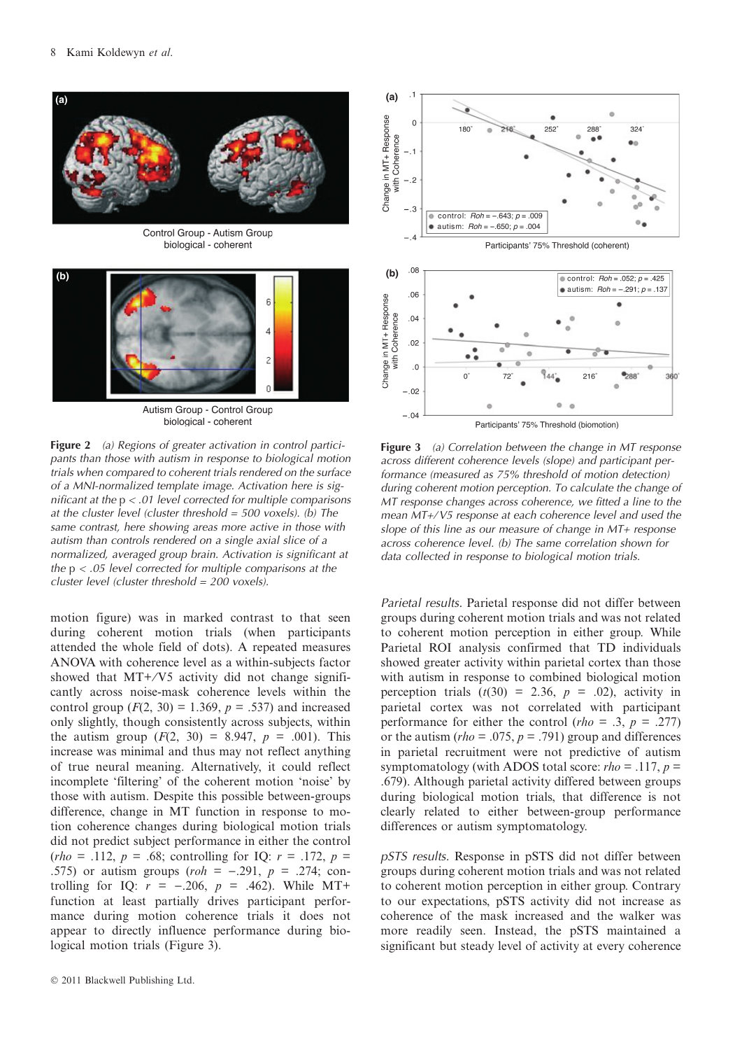

Control Group - Autism Group biological - coherent



Autism Group - Control Group biological - coherent

Figure 2 (a) Regions of greater activation in control participants than those with autism in response to biological motion trials when compared to coherent trials rendered on the surface of a MNI-normalized template image. Activation here is significant at the p < .01 level corrected for multiple comparisons at the cluster level (cluster threshold =  $500$  voxels). (b) The same contrast, here showing areas more active in those with autism than controls rendered on a single axial slice of a normalized, averaged group brain. Activation is significant at the  $p < 0.05$  level corrected for multiple comparisons at the cluster level (cluster threshold =  $200$  voxels).

motion figure) was in marked contrast to that seen during coherent motion trials (when participants attended the whole field of dots). A repeated measures ANOVA with coherence level as a within-subjects factor showed that MT+⁄V5 activity did not change significantly across noise-mask coherence levels within the control group  $(F(2, 30) = 1.369, p = .537)$  and increased only slightly, though consistently across subjects, within the autism group  $(F(2, 30) = 8.947, p = .001)$ . This increase was minimal and thus may not reflect anything of true neural meaning. Alternatively, it could reflect incomplete 'filtering' of the coherent motion 'noise' by those with autism. Despite this possible between-groups difference, change in MT function in response to motion coherence changes during biological motion trials did not predict subject performance in either the control  $(rho = .112, p = .68;$  controlling for IQ:  $r = .172, p =$ .575) or autism groups (*roh* =  $-.291, p = .274$ ; controlling for IQ:  $r = -.206$ ,  $p = .462$ ). While MT+ function at least partially drives participant performance during motion coherence trials it does not appear to directly influence performance during biological motion trials (Figure 3).



Participants' 75% Threshold (biomotion)

 $-.04$ 

Figure 3 (a) Correlation between the change in MT response across different coherence levels (slope) and participant performance (measured as 75% threshold of motion detection) during coherent motion perception. To calculate the change of MT response changes across coherence, we fitted a line to the mean  $MT+/\nu$ 5 response at each coherence level and used the slope of this line as our measure of change in MT+ response across coherence level. (b) The same correlation shown for data collected in response to biological motion trials.

Parietal results. Parietal response did not differ between groups during coherent motion trials and was not related to coherent motion perception in either group. While Parietal ROI analysis confirmed that TD individuals showed greater activity within parietal cortex than those with autism in response to combined biological motion perception trials  $(t(30) = 2.36, p = .02)$ , activity in parietal cortex was not correlated with participant performance for either the control (*rho* = .3,  $p = .277$ ) or the autism (*rho* = .075,  $p = .791$ ) group and differences in parietal recruitment were not predictive of autism symptomatology (with ADOS total score:  $rho = .117$ ,  $p =$ .679). Although parietal activity differed between groups during biological motion trials, that difference is not clearly related to either between-group performance differences or autism symptomatology.

pSTS results. Response in pSTS did not differ between groups during coherent motion trials and was not related to coherent motion perception in either group. Contrary to our expectations, pSTS activity did not increase as coherence of the mask increased and the walker was more readily seen. Instead, the pSTS maintained a significant but steady level of activity at every coherence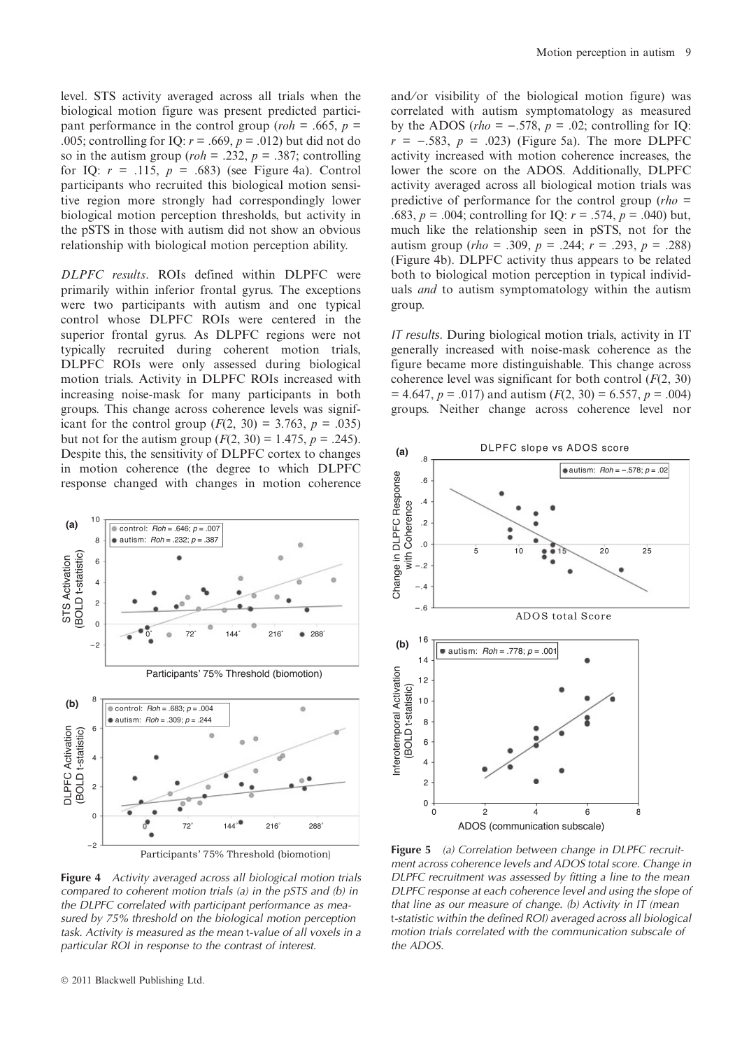level. STS activity averaged across all trials when the biological motion figure was present predicted participant performance in the control group (roh = .665,  $p =$ .005; controlling for IQ:  $r = .669$ ,  $p = .012$ ) but did not do so in the autism group ( $roh = .232$ ,  $p = .387$ ; controlling for IQ:  $r = .115$ ,  $p = .683$ ) (see Figure 4a). Control participants who recruited this biological motion sensitive region more strongly had correspondingly lower biological motion perception thresholds, but activity in the pSTS in those with autism did not show an obvious relationship with biological motion perception ability.

DLPFC results. ROIs defined within DLPFC were primarily within inferior frontal gyrus. The exceptions were two participants with autism and one typical control whose DLPFC ROIs were centered in the superior frontal gyrus. As DLPFC regions were not typically recruited during coherent motion trials, DLPFC ROIs were only assessed during biological motion trials. Activity in DLPFC ROIs increased with increasing noise-mask for many participants in both groups. This change across coherence levels was significant for the control group  $(F(2, 30) = 3.763, p = .035)$ but not for the autism group  $(F(2, 30) = 1.475, p = .245)$ . Despite this, the sensitivity of DLPFC cortex to changes in motion coherence (the degree to which DLPFC response changed with changes in motion coherence



Figure 4 Activity averaged across all biological motion trials compared to coherent motion trials (a) in the pSTS and (b) in the DLPFC correlated with participant performance as measured by 75% threshold on the biological motion perception task. Activity is measured as the mean t-value of all voxels in a particular ROI in response to the contrast of interest.

and/or visibility of the biological motion figure) was correlated with autism symptomatology as measured by the ADOS (*rho* =  $-.578$ , *p* = .02; controlling for IQ:  $r = -.583$ ,  $p = .023$ ) (Figure 5a). The more DLPFC activity increased with motion coherence increases, the lower the score on the ADOS. Additionally, DLPFC activity averaged across all biological motion trials was predictive of performance for the control group ( $rho =$ .683,  $p = .004$ ; controlling for IQ:  $r = .574$ ,  $p = .040$ ) but, much like the relationship seen in pSTS, not for the autism group (*rho* = .309,  $p = .244$ ;  $r = .293$ ,  $p = .288$ ) (Figure 4b). DLPFC activity thus appears to be related both to biological motion perception in typical individuals and to autism symptomatology within the autism group.

IT results. During biological motion trials, activity in IT generally increased with noise-mask coherence as the figure became more distinguishable. This change across coherence level was significant for both control  $(F(2, 30))$  $= 4.647, p = .017$  and autism  $(F(2, 30) = 6.557, p = .004)$ groups. Neither change across coherence level nor



Figure 5 (a) Correlation between change in DLPFC recruitment across coherence levels and ADOS total score. Change in DLPFC recruitment was assessed by fitting a line to the mean DLPFC response at each coherence level and using the slope of that line as our measure of change. (b) Activity in IT (mean t-statistic within the defined ROI) averaged across all biological motion trials correlated with the communication subscale of the ADOS.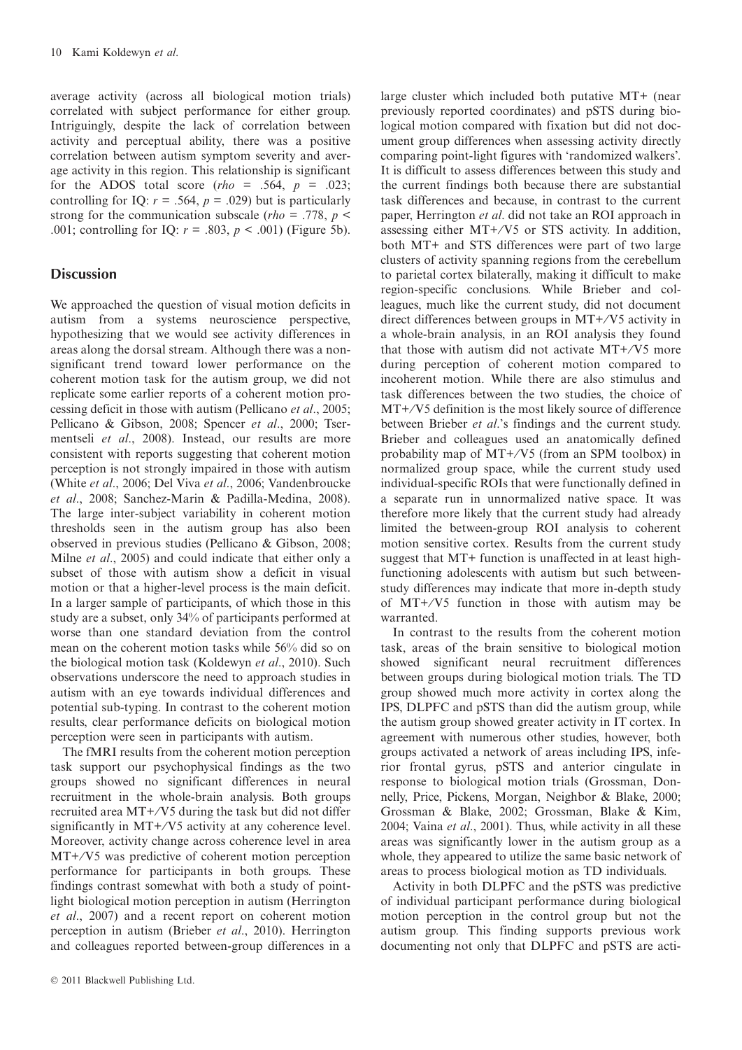average activity (across all biological motion trials) correlated with subject performance for either group. Intriguingly, despite the lack of correlation between activity and perceptual ability, there was a positive correlation between autism symptom severity and average activity in this region. This relationship is significant for the ADOS total score (*rho* = .564,  $p = .023$ ; controlling for IQ:  $r = .564$ ,  $p = .029$ ) but is particularly strong for the communication subscale (*rho* = .778,  $p$  < .001; controlling for IQ:  $r = .803$ ,  $p < .001$ ) (Figure 5b).

# **Discussion**

We approached the question of visual motion deficits in autism from a systems neuroscience perspective, hypothesizing that we would see activity differences in areas along the dorsal stream. Although there was a nonsignificant trend toward lower performance on the coherent motion task for the autism group, we did not replicate some earlier reports of a coherent motion processing deficit in those with autism (Pellicano et al., 2005; Pellicano & Gibson, 2008; Spencer et al., 2000; Tsermentseli et al., 2008). Instead, our results are more consistent with reports suggesting that coherent motion perception is not strongly impaired in those with autism (White et al., 2006; Del Viva et al., 2006; Vandenbroucke et al., 2008; Sanchez-Marin & Padilla-Medina, 2008). The large inter-subject variability in coherent motion thresholds seen in the autism group has also been observed in previous studies (Pellicano & Gibson, 2008; Milne *et al.*, 2005) and could indicate that either only a subset of those with autism show a deficit in visual motion or that a higher-level process is the main deficit. In a larger sample of participants, of which those in this study are a subset, only 34% of participants performed at worse than one standard deviation from the control mean on the coherent motion tasks while 56% did so on the biological motion task (Koldewyn et al., 2010). Such observations underscore the need to approach studies in autism with an eye towards individual differences and potential sub-typing. In contrast to the coherent motion results, clear performance deficits on biological motion perception were seen in participants with autism.

The fMRI results from the coherent motion perception task support our psychophysical findings as the two groups showed no significant differences in neural recruitment in the whole-brain analysis. Both groups recruited area MT+⁄V5 during the task but did not differ significantly in MT+⁄V5 activity at any coherence level. Moreover, activity change across coherence level in area MT+⁄V5 was predictive of coherent motion perception performance for participants in both groups. These findings contrast somewhat with both a study of pointlight biological motion perception in autism (Herrington et al., 2007) and a recent report on coherent motion perception in autism (Brieber et al., 2010). Herrington and colleagues reported between-group differences in a large cluster which included both putative MT+ (near previously reported coordinates) and pSTS during biological motion compared with fixation but did not document group differences when assessing activity directly comparing point-light figures with 'randomized walkers'. It is difficult to assess differences between this study and the current findings both because there are substantial task differences and because, in contrast to the current paper, Herrington et al. did not take an ROI approach in assessing either MT+⁄V5 or STS activity. In addition, both MT+ and STS differences were part of two large clusters of activity spanning regions from the cerebellum to parietal cortex bilaterally, making it difficult to make region-specific conclusions. While Brieber and colleagues, much like the current study, did not document direct differences between groups in MT+⁄V5 activity in a whole-brain analysis, in an ROI analysis they found that those with autism did not activate  $MT+/V5$  more during perception of coherent motion compared to incoherent motion. While there are also stimulus and task differences between the two studies, the choice of MT+⁄V5 definition is the most likely source of difference between Brieber et al.'s findings and the current study. Brieber and colleagues used an anatomically defined probability map of MT+⁄V5 (from an SPM toolbox) in normalized group space, while the current study used individual-specific ROIs that were functionally defined in a separate run in unnormalized native space. It was therefore more likely that the current study had already limited the between-group ROI analysis to coherent motion sensitive cortex. Results from the current study suggest that MT+ function is unaffected in at least highfunctioning adolescents with autism but such betweenstudy differences may indicate that more in-depth study of MT+⁄V5 function in those with autism may be warranted.

In contrast to the results from the coherent motion task, areas of the brain sensitive to biological motion showed significant neural recruitment differences between groups during biological motion trials. The TD group showed much more activity in cortex along the IPS, DLPFC and pSTS than did the autism group, while the autism group showed greater activity in IT cortex. In agreement with numerous other studies, however, both groups activated a network of areas including IPS, inferior frontal gyrus, pSTS and anterior cingulate in response to biological motion trials (Grossman, Donnelly, Price, Pickens, Morgan, Neighbor & Blake, 2000; Grossman & Blake, 2002; Grossman, Blake & Kim, 2004; Vaina et al., 2001). Thus, while activity in all these areas was significantly lower in the autism group as a whole, they appeared to utilize the same basic network of areas to process biological motion as TD individuals.

Activity in both DLPFC and the pSTS was predictive of individual participant performance during biological motion perception in the control group but not the autism group. This finding supports previous work documenting not only that DLPFC and pSTS are acti-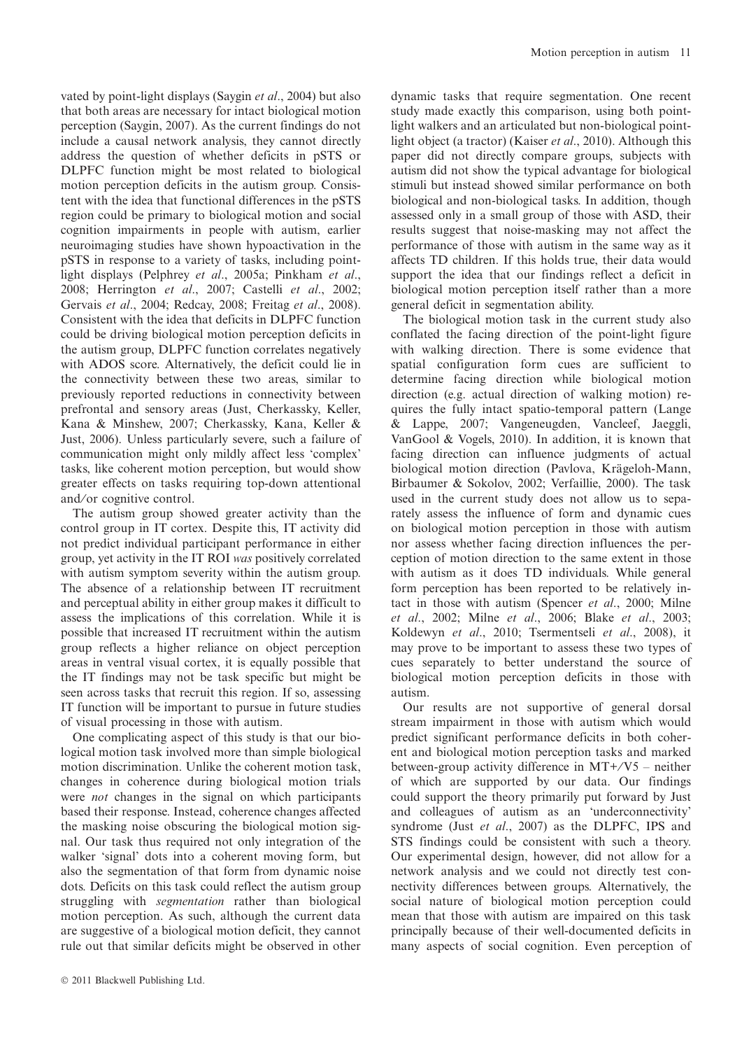vated by point-light displays (Saygin et al., 2004) but also that both areas are necessary for intact biological motion perception (Saygin, 2007). As the current findings do not include a causal network analysis, they cannot directly address the question of whether deficits in pSTS or DLPFC function might be most related to biological motion perception deficits in the autism group. Consistent with the idea that functional differences in the pSTS region could be primary to biological motion and social cognition impairments in people with autism, earlier neuroimaging studies have shown hypoactivation in the pSTS in response to a variety of tasks, including pointlight displays (Pelphrey et al., 2005a; Pinkham et al., 2008; Herrington et al., 2007; Castelli et al., 2002; Gervais et al., 2004; Redcay, 2008; Freitag et al., 2008). Consistent with the idea that deficits in DLPFC function could be driving biological motion perception deficits in the autism group, DLPFC function correlates negatively with ADOS score. Alternatively, the deficit could lie in the connectivity between these two areas, similar to previously reported reductions in connectivity between prefrontal and sensory areas (Just, Cherkassky, Keller, Kana & Minshew, 2007; Cherkassky, Kana, Keller & Just, 2006). Unless particularly severe, such a failure of communication might only mildly affect less 'complex' tasks, like coherent motion perception, but would show greater effects on tasks requiring top-down attentional and/or cognitive control.

The autism group showed greater activity than the control group in IT cortex. Despite this, IT activity did not predict individual participant performance in either group, yet activity in the IT ROI was positively correlated with autism symptom severity within the autism group. The absence of a relationship between IT recruitment and perceptual ability in either group makes it difficult to assess the implications of this correlation. While it is possible that increased IT recruitment within the autism group reflects a higher reliance on object perception areas in ventral visual cortex, it is equally possible that the IT findings may not be task specific but might be seen across tasks that recruit this region. If so, assessing IT function will be important to pursue in future studies of visual processing in those with autism.

One complicating aspect of this study is that our biological motion task involved more than simple biological motion discrimination. Unlike the coherent motion task, changes in coherence during biological motion trials were *not* changes in the signal on which participants based their response. Instead, coherence changes affected the masking noise obscuring the biological motion signal. Our task thus required not only integration of the walker 'signal' dots into a coherent moving form, but also the segmentation of that form from dynamic noise dots. Deficits on this task could reflect the autism group struggling with segmentation rather than biological motion perception. As such, although the current data are suggestive of a biological motion deficit, they cannot rule out that similar deficits might be observed in other dynamic tasks that require segmentation. One recent study made exactly this comparison, using both pointlight walkers and an articulated but non-biological pointlight object (a tractor) (Kaiser et al., 2010). Although this paper did not directly compare groups, subjects with autism did not show the typical advantage for biological stimuli but instead showed similar performance on both biological and non-biological tasks. In addition, though assessed only in a small group of those with ASD, their results suggest that noise-masking may not affect the performance of those with autism in the same way as it affects TD children. If this holds true, their data would support the idea that our findings reflect a deficit in biological motion perception itself rather than a more general deficit in segmentation ability.

The biological motion task in the current study also conflated the facing direction of the point-light figure with walking direction. There is some evidence that spatial configuration form cues are sufficient to determine facing direction while biological motion direction (e.g. actual direction of walking motion) requires the fully intact spatio-temporal pattern (Lange & Lappe, 2007; Vangeneugden, Vancleef, Jaeggli, VanGool & Vogels, 2010). In addition, it is known that facing direction can influence judgments of actual biological motion direction (Pavlova, Krägeloh-Mann, Birbaumer & Sokolov, 2002; Verfaillie, 2000). The task used in the current study does not allow us to separately assess the influence of form and dynamic cues on biological motion perception in those with autism nor assess whether facing direction influences the perception of motion direction to the same extent in those with autism as it does TD individuals. While general form perception has been reported to be relatively intact in those with autism (Spencer et al., 2000; Milne et al., 2002; Milne et al., 2006; Blake et al., 2003; Koldewyn et al., 2010; Tsermentseli et al., 2008), it may prove to be important to assess these two types of cues separately to better understand the source of biological motion perception deficits in those with autism.

Our results are not supportive of general dorsal stream impairment in those with autism which would predict significant performance deficits in both coherent and biological motion perception tasks and marked between-group activity difference in  $MT+/\sqrt{5}$  – neither of which are supported by our data. Our findings could support the theory primarily put forward by Just and colleagues of autism as an 'underconnectivity' syndrome (Just et al., 2007) as the DLPFC, IPS and STS findings could be consistent with such a theory. Our experimental design, however, did not allow for a network analysis and we could not directly test connectivity differences between groups. Alternatively, the social nature of biological motion perception could mean that those with autism are impaired on this task principally because of their well-documented deficits in many aspects of social cognition. Even perception of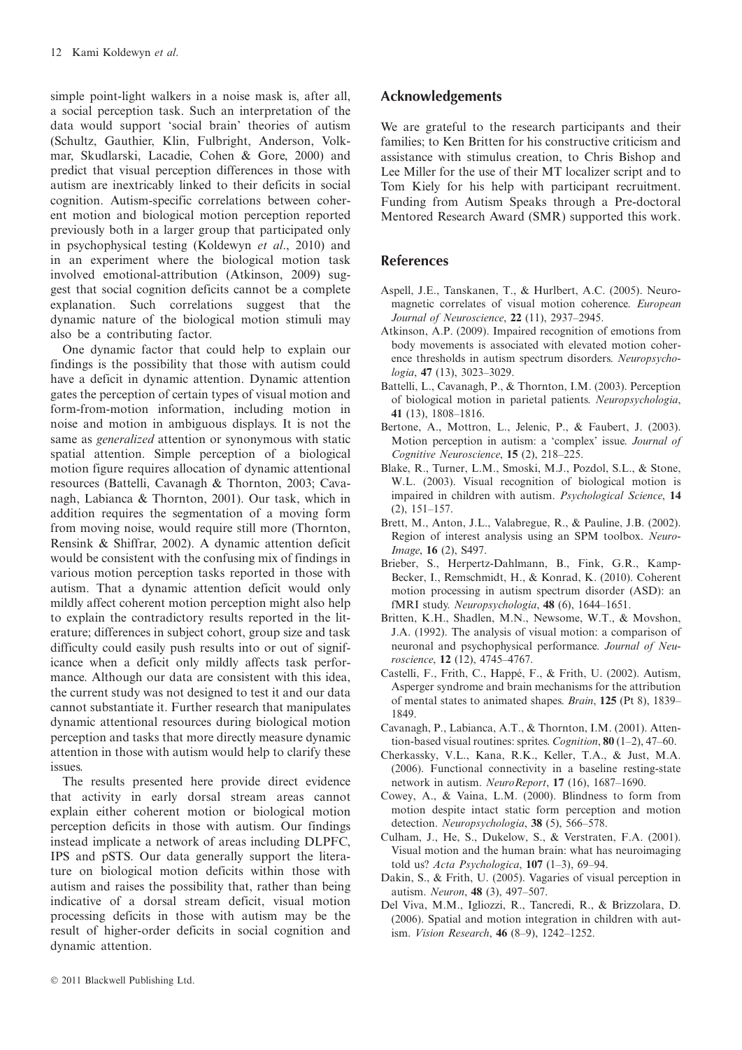simple point-light walkers in a noise mask is, after all, a social perception task. Such an interpretation of the data would support 'social brain' theories of autism (Schultz, Gauthier, Klin, Fulbright, Anderson, Volkmar, Skudlarski, Lacadie, Cohen & Gore, 2000) and predict that visual perception differences in those with autism are inextricably linked to their deficits in social cognition. Autism-specific correlations between coherent motion and biological motion perception reported previously both in a larger group that participated only in psychophysical testing (Koldewyn et al., 2010) and in an experiment where the biological motion task involved emotional-attribution (Atkinson, 2009) suggest that social cognition deficits cannot be a complete explanation. Such correlations suggest that the dynamic nature of the biological motion stimuli may also be a contributing factor.

One dynamic factor that could help to explain our findings is the possibility that those with autism could have a deficit in dynamic attention. Dynamic attention gates the perception of certain types of visual motion and form-from-motion information, including motion in noise and motion in ambiguous displays. It is not the same as generalized attention or synonymous with static spatial attention. Simple perception of a biological motion figure requires allocation of dynamic attentional resources (Battelli, Cavanagh & Thornton, 2003; Cavanagh, Labianca & Thornton, 2001). Our task, which in addition requires the segmentation of a moving form from moving noise, would require still more (Thornton, Rensink & Shiffrar, 2002). A dynamic attention deficit would be consistent with the confusing mix of findings in various motion perception tasks reported in those with autism. That a dynamic attention deficit would only mildly affect coherent motion perception might also help to explain the contradictory results reported in the literature; differences in subject cohort, group size and task difficulty could easily push results into or out of significance when a deficit only mildly affects task performance. Although our data are consistent with this idea, the current study was not designed to test it and our data cannot substantiate it. Further research that manipulates dynamic attentional resources during biological motion perception and tasks that more directly measure dynamic attention in those with autism would help to clarify these issues.

The results presented here provide direct evidence that activity in early dorsal stream areas cannot explain either coherent motion or biological motion perception deficits in those with autism. Our findings instead implicate a network of areas including DLPFC, IPS and pSTS. Our data generally support the literature on biological motion deficits within those with autism and raises the possibility that, rather than being indicative of a dorsal stream deficit, visual motion processing deficits in those with autism may be the result of higher-order deficits in social cognition and dynamic attention.

## Acknowledgements

We are grateful to the research participants and their families; to Ken Britten for his constructive criticism and assistance with stimulus creation, to Chris Bishop and Lee Miller for the use of their MT localizer script and to Tom Kiely for his help with participant recruitment. Funding from Autism Speaks through a Pre-doctoral Mentored Research Award (SMR) supported this work.

## References

- Aspell, J.E., Tanskanen, T., & Hurlbert, A.C. (2005). Neuromagnetic correlates of visual motion coherence. European Journal of Neuroscience, 22 (11), 2937-2945.
- Atkinson, A.P. (2009). Impaired recognition of emotions from body movements is associated with elevated motion coherence thresholds in autism spectrum disorders. Neuropsychologia, 47 (13), 3023–3029.
- Battelli, L., Cavanagh, P., & Thornton, I.M. (2003). Perception of biological motion in parietal patients. Neuropsychologia, 41 (13), 1808–1816.
- Bertone, A., Mottron, L., Jelenic, P., & Faubert, J. (2003). Motion perception in autism: a 'complex' issue. Journal of Cognitive Neuroscience, 15 (2), 218–225.
- Blake, R., Turner, L.M., Smoski, M.J., Pozdol, S.L., & Stone, W.L. (2003). Visual recognition of biological motion is impaired in children with autism. Psychological Science, 14 (2), 151–157.
- Brett, M., Anton, J.L., Valabregue, R., & Pauline, J.B. (2002). Region of interest analysis using an SPM toolbox. Neuro-Image, 16 (2), S497.
- Brieber, S., Herpertz-Dahlmann, B., Fink, G.R., Kamp-Becker, I., Remschmidt, H., & Konrad, K. (2010). Coherent motion processing in autism spectrum disorder (ASD): an fMRI study. Neuropsychologia, 48 (6), 1644–1651.
- Britten, K.H., Shadlen, M.N., Newsome, W.T., & Movshon, J.A. (1992). The analysis of visual motion: a comparison of neuronal and psychophysical performance. Journal of Neuroscience, 12 (12), 4745–4767.
- Castelli, F., Frith, C., Happé, F., & Frith, U. (2002). Autism, Asperger syndrome and brain mechanisms for the attribution of mental states to animated shapes. Brain, 125 (Pt 8), 1839– 1849.
- Cavanagh, P., Labianca, A.T., & Thornton, I.M. (2001). Attention-based visual routines: sprites. Cognition, 80 (1–2), 47–60.
- Cherkassky, V.L., Kana, R.K., Keller, T.A., & Just, M.A. (2006). Functional connectivity in a baseline resting-state network in autism. NeuroReport, 17 (16), 1687–1690.
- Cowey, A., & Vaina, L.M. (2000). Blindness to form from motion despite intact static form perception and motion detection. Neuropsychologia, 38 (5), 566–578.
- Culham, J., He, S., Dukelow, S., & Verstraten, F.A. (2001). Visual motion and the human brain: what has neuroimaging told us? Acta Psychologica,  $107$  (1-3), 69-94.
- Dakin, S., & Frith, U. (2005). Vagaries of visual perception in autism. Neuron, 48 (3), 497–507.
- Del Viva, M.M., Igliozzi, R., Tancredi, R., & Brizzolara, D. (2006). Spatial and motion integration in children with autism. Vision Research, 46 (8–9), 1242–1252.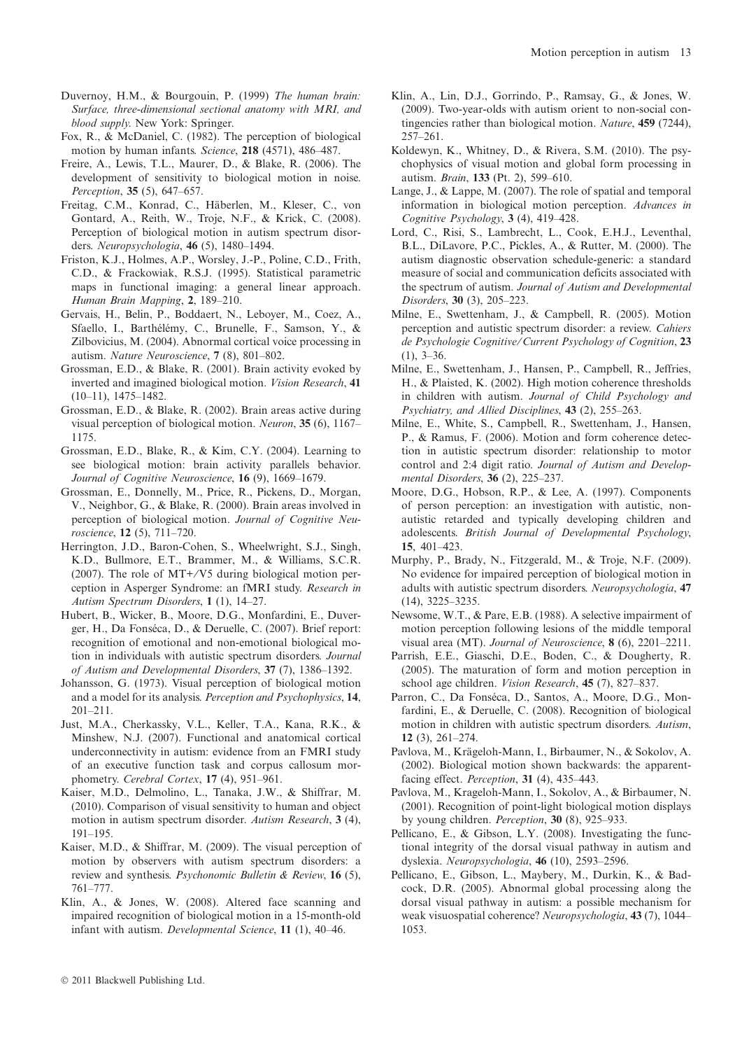- Duvernoy, H.M., & Bourgouin, P. (1999) The human brain: Surface, three-dimensional sectional anatomy with MRI, and blood supply. New York: Springer.
- Fox, R., & McDaniel, C. (1982). The perception of biological motion by human infants. Science, 218 (4571), 486–487.
- Freire, A., Lewis, T.L., Maurer, D., & Blake, R. (2006). The development of sensitivity to biological motion in noise. Perception, 35 (5), 647–657.
- Freitag, C.M., Konrad, C., Häberlen, M., Kleser, C., von Gontard, A., Reith, W., Troje, N.F., & Krick, C. (2008). Perception of biological motion in autism spectrum disorders. Neuropsychologia, 46 (5), 1480–1494.
- Friston, K.J., Holmes, A.P., Worsley, J.-P., Poline, C.D., Frith, C.D., & Frackowiak, R.S.J. (1995). Statistical parametric maps in functional imaging: a general linear approach. Human Brain Mapping, 2, 189–210.
- Gervais, H., Belin, P., Boddaert, N., Leboyer, M., Coez, A., Sfaello, I., Barthélémy, C., Brunelle, F., Samson, Y., & Zilbovicius, M. (2004). Abnormal cortical voice processing in autism. Nature Neuroscience, 7 (8), 801–802.
- Grossman, E.D., & Blake, R. (2001). Brain activity evoked by inverted and imagined biological motion. Vision Research, 41 (10–11), 1475–1482.
- Grossman, E.D., & Blake, R. (2002). Brain areas active during visual perception of biological motion. Neuron, 35 (6), 1167– 1175.
- Grossman, E.D., Blake, R., & Kim, C.Y. (2004). Learning to see biological motion: brain activity parallels behavior. Journal of Cognitive Neuroscience, 16 (9), 1669-1679.
- Grossman, E., Donnelly, M., Price, R., Pickens, D., Morgan, V., Neighbor, G., & Blake, R. (2000). Brain areas involved in perception of biological motion. Journal of Cognitive Neuroscience, 12 (5), 711–720.
- Herrington, J.D., Baron-Cohen, S., Wheelwright, S.J., Singh, K.D., Bullmore, E.T., Brammer, M., & Williams, S.C.R.  $(2007)$ . The role of MT+/V5 during biological motion perception in Asperger Syndrome: an fMRI study. Research in Autism Spectrum Disorders, 1 (1), 14–27.
- Hubert, B., Wicker, B., Moore, D.G., Monfardini, E., Duverger, H., Da Fonséca, D., & Deruelle, C. (2007). Brief report: recognition of emotional and non-emotional biological motion in individuals with autistic spectrum disorders. Journal of Autism and Developmental Disorders, 37 (7), 1386–1392.
- Johansson, G. (1973). Visual perception of biological motion and a model for its analysis. Perception and Psychophysics, 14, 201–211.
- Just, M.A., Cherkassky, V.L., Keller, T.A., Kana, R.K., & Minshew, N.J. (2007). Functional and anatomical cortical underconnectivity in autism: evidence from an FMRI study of an executive function task and corpus callosum morphometry. Cerebral Cortex, 17 (4), 951-961.
- Kaiser, M.D., Delmolino, L., Tanaka, J.W., & Shiffrar, M. (2010). Comparison of visual sensitivity to human and object motion in autism spectrum disorder. Autism Research, 3 (4), 191–195.
- Kaiser, M.D., & Shiffrar, M. (2009). The visual perception of motion by observers with autism spectrum disorders: a review and synthesis. Psychonomic Bulletin & Review, 16 (5), 761–777.
- Klin, A., & Jones, W. (2008). Altered face scanning and impaired recognition of biological motion in a 15-month-old infant with autism. Developmental Science, 11 (1), 40–46.
- Klin, A., Lin, D.J., Gorrindo, P., Ramsay, G., & Jones, W. (2009). Two-year-olds with autism orient to non-social contingencies rather than biological motion. Nature, 459 (7244), 257–261.
- Koldewyn, K., Whitney, D., & Rivera, S.M. (2010). The psychophysics of visual motion and global form processing in autism. Brain, 133 (Pt. 2), 599–610.
- Lange, J., & Lappe, M. (2007). The role of spatial and temporal information in biological motion perception. Advances in Cognitive Psychology, 3 (4), 419–428.
- Lord, C., Risi, S., Lambrecht, L., Cook, E.H.J., Leventhal, B.L., DiLavore, P.C., Pickles, A., & Rutter, M. (2000). The autism diagnostic observation schedule-generic: a standard measure of social and communication deficits associated with the spectrum of autism. Journal of Autism and Developmental Disorders, 30 (3), 205–223.
- Milne, E., Swettenham, J., & Campbell, R. (2005). Motion perception and autistic spectrum disorder: a review. Cahiers de Psychologie Cognitive/Current Psychology of Cognition, 23  $(1), 3-36.$
- Milne, E., Swettenham, J., Hansen, P., Campbell, R., Jeffries, H., & Plaisted, K. (2002). High motion coherence thresholds in children with autism. Journal of Child Psychology and Psychiatry, and Allied Disciplines, 43 (2), 255–263.
- Milne, E., White, S., Campbell, R., Swettenham, J., Hansen, P., & Ramus, F. (2006). Motion and form coherence detection in autistic spectrum disorder: relationship to motor control and 2:4 digit ratio. Journal of Autism and Developmental Disorders, 36 (2), 225–237.
- Moore, D.G., Hobson, R.P., & Lee, A. (1997). Components of person perception: an investigation with autistic, nonautistic retarded and typically developing children and adolescents. British Journal of Developmental Psychology, 15, 401–423.
- Murphy, P., Brady, N., Fitzgerald, M., & Troje, N.F. (2009). No evidence for impaired perception of biological motion in adults with autistic spectrum disorders. Neuropsychologia, 47 (14), 3225–3235.
- Newsome, W.T., & Pare, E.B. (1988). A selective impairment of motion perception following lesions of the middle temporal visual area (MT). Journal of Neuroscience, 8 (6), 2201–2211.
- Parrish, E.E., Giaschi, D.E., Boden, C., & Dougherty, R. (2005). The maturation of form and motion perception in school age children. Vision Research, 45 (7), 827–837.
- Parron, C., Da Fonséca, D., Santos, A., Moore, D.G., Monfardini, E., & Deruelle, C. (2008). Recognition of biological motion in children with autistic spectrum disorders. Autism, 12 (3), 261–274.
- Pavlova, M., Krägeloh-Mann, I., Birbaumer, N., & Sokolov, A. (2002). Biological motion shown backwards: the apparentfacing effect. Perception, 31 (4), 435–443.
- Pavlova, M., Krageloh-Mann, I., Sokolov, A., & Birbaumer, N. (2001). Recognition of point-light biological motion displays by young children. Perception, 30 (8), 925–933.
- Pellicano, E., & Gibson, L.Y. (2008). Investigating the functional integrity of the dorsal visual pathway in autism and dyslexia. Neuropsychologia, 46 (10), 2593–2596.
- Pellicano, E., Gibson, L., Maybery, M., Durkin, K., & Badcock, D.R. (2005). Abnormal global processing along the dorsal visual pathway in autism: a possible mechanism for weak visuospatial coherence? Neuropsychologia, 43 (7), 1044– 1053.